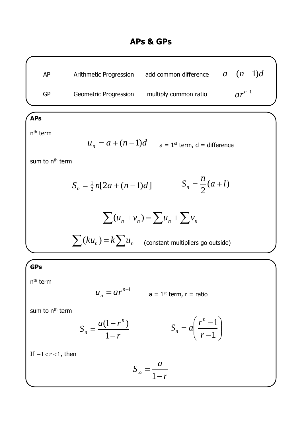| AP | Arithmetic Progression       | add common difference | $a+(n-1)d$ |
|----|------------------------------|-----------------------|------------|
| GP | <b>Geometric Progression</b> | multiply common ratio | $ar^{n-1}$ |

## **APs**

n<sup>th</sup> term

$$
u_n = a + (n-1)d
$$
   
  $a = 1^{st}$  term,  $d$  = difference

*n*

sum to n<sup>th</sup> term

$$
S_n = \frac{1}{2}n[2a + (n-1)d] \qquad S_n = \frac{n}{2}(a+l)
$$

$$
\sum (u_n + v_n) = \sum u_n + \sum v_n
$$

 $\sum (ku_n) = k \sum u_n$  (constant multipliers go outside)

## **GPs**

n<sup>th</sup> term

$$
u_n = ar^{n-1} \qquad \qquad a = 1^{\text{st}} \text{ term, } r = \text{ratio}
$$

sum to n<sup>th</sup> term

$$
S_n = \frac{a(1 - r^n)}{1 - r}
$$
 
$$
S_n = a \left( \frac{r^n - 1}{r - 1} \right)
$$

If  $-1 < r < 1$ , then

$$
S_{\infty} = \frac{a}{1 - r}
$$